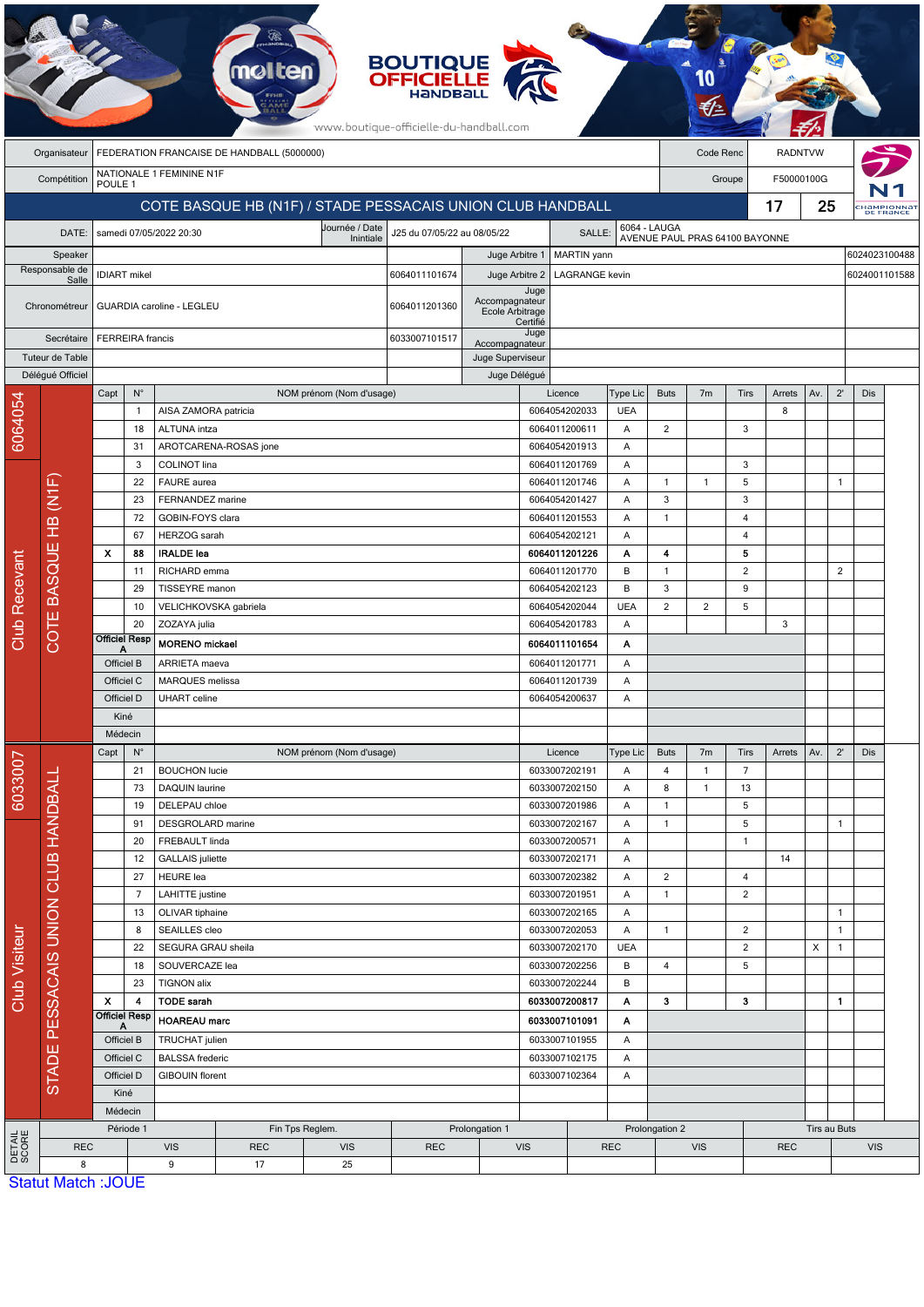|                                                                   |                                                 |                                                            |                                                          |                                                  | <b>molten</b>         |                                | <b>BOUTIQUE</b><br><b>OFFICIELLE</b><br>www.boutique-officielle-du-handball.com |                                |                                |            |                                 |                                |                                |                                  |             |              |               |                         |  |
|-------------------------------------------------------------------|-------------------------------------------------|------------------------------------------------------------|----------------------------------------------------------|--------------------------------------------------|-----------------------|--------------------------------|---------------------------------------------------------------------------------|--------------------------------|--------------------------------|------------|---------------------------------|--------------------------------|--------------------------------|----------------------------------|-------------|--------------|---------------|-------------------------|--|
|                                                                   | Organisateur                                    | FEDERATION FRANCAISE DE HANDBALL (5000000)                 |                                                          |                                                  |                       |                                |                                                                                 |                                |                                |            |                                 |                                |                                | <b>RADNTVW</b><br>Code Renc      |             |              |               |                         |  |
|                                                                   | Compétition                                     | NATIONALE 1 FEMININE N1F<br>POULE 1                        |                                                          |                                                  |                       |                                |                                                                                 |                                |                                |            |                                 |                                |                                | F50000100G<br>Groupe             |             |              |               |                         |  |
|                                                                   |                                                 | COTE BASQUE HB (N1F) / STADE PESSACAIS UNION CLUB HANDBALL |                                                          |                                                  |                       |                                |                                                                                 |                                |                                |            |                                 |                                |                                | 17                               |             |              | 25            | CHAMPIONNA<br>DE FRANCE |  |
|                                                                   | DATE:                                           | Journée / Date<br>samedi 07/05/2022 20:30                  |                                                          |                                                  |                       |                                | J25 du 07/05/22 au 08/05/22                                                     | SALLE:                         |                                |            |                                 | 6064 - LAUGA                   |                                |                                  |             |              |               |                         |  |
| Speaker<br>Responsable de<br>Salle<br>Chronométreur<br>Secrétaire |                                                 | <b>IDIART</b> mikel                                        |                                                          |                                                  |                       | Inintiale                      |                                                                                 | Juge Arbitre 1                 | MARTIN yann                    |            |                                 |                                | AVENUE PAUL PRAS 64100 BAYONNE |                                  |             |              | 6024023100488 |                         |  |
|                                                                   |                                                 |                                                            |                                                          |                                                  |                       |                                | 6064011101674                                                                   | Juge Arbitre 2                 |                                |            | 6024001101588<br>LAGRANGE kevin |                                |                                |                                  |             |              |               |                         |  |
|                                                                   |                                                 |                                                            |                                                          |                                                  |                       |                                |                                                                                 | Accompagnateur                 | Juge                           |            |                                 |                                |                                |                                  |             |              |               |                         |  |
|                                                                   |                                                 | GUARDIA caroline - LEGLEU                                  |                                                          |                                                  |                       |                                | 6064011201360<br>Ecole Arbitrage                                                |                                |                                | Certifié   |                                 |                                |                                |                                  |             |              |               |                         |  |
|                                                                   |                                                 | <b>FERREIRA</b> francis                                    |                                                          |                                                  |                       |                                | 6033007101517                                                                   | Accompagnateur                 | Juge                           |            |                                 |                                |                                |                                  |             |              |               |                         |  |
| Tuteur de Table                                                   |                                                 |                                                            |                                                          |                                                  |                       |                                |                                                                                 |                                | Juge Superviseur               |            |                                 |                                |                                |                                  |             |              |               |                         |  |
|                                                                   | Délégué Officiel                                |                                                            |                                                          |                                                  |                       |                                |                                                                                 | Juge Délégué                   |                                |            |                                 |                                |                                |                                  |             |              |               |                         |  |
|                                                                   |                                                 | Capt                                                       | $\mathsf{N}^\circ$<br>$\mathbf{1}$                       | AISA ZAMORA patricia                             |                       | NOM prénom (Nom d'usage)       |                                                                                 |                                | Licence<br>6064054202033       |            | Type Lic<br><b>UEA</b>          | <b>Buts</b>                    | 7 <sub>m</sub>                 | Tirs                             | Arrets<br>8 | Av.          | $2^{\prime}$  | Dis                     |  |
| 6064054                                                           |                                                 |                                                            | 18                                                       | ALTUNA intza                                     |                       |                                |                                                                                 |                                | 6064011200611                  |            | Α                               | 2                              |                                | 3                                |             |              |               |                         |  |
|                                                                   |                                                 |                                                            | 31                                                       |                                                  | AROTCARENA-ROSAS jone |                                |                                                                                 |                                | 6064054201913                  |            | Α                               |                                |                                |                                  |             |              |               |                         |  |
|                                                                   |                                                 |                                                            | 3                                                        | COLINOT lina                                     |                       |                                |                                                                                 |                                | 6064011201769                  |            | Α                               |                                |                                | 3                                |             |              |               |                         |  |
|                                                                   |                                                 |                                                            | 22                                                       | FAURE aurea                                      |                       |                                |                                                                                 |                                | 6064011201746                  |            | Α                               | 1                              | $\mathbf{1}$                   | 5                                |             |              | 1             |                         |  |
|                                                                   | HB (N1F                                         |                                                            | 23                                                       | FERNANDEZ marine                                 |                       |                                |                                                                                 |                                | 6064054201427                  |            | Α                               | 3                              |                                | 3                                |             |              |               |                         |  |
|                                                                   |                                                 |                                                            | 72<br>67                                                 | GOBIN-FOYS clara<br>HERZOG sarah                 |                       |                                |                                                                                 |                                | 6064011201553<br>6064054202121 |            | Α<br>Α                          | $\overline{1}$                 |                                | $\overline{4}$<br>$\overline{4}$ |             |              |               |                         |  |
|                                                                   | COTE BASQUE                                     | $\boldsymbol{\mathsf{x}}$                                  | 88                                                       | <b>IRALDE lea</b>                                |                       |                                |                                                                                 |                                | 6064011201226                  |            | Α                               | 4                              |                                | 5                                |             |              |               |                         |  |
|                                                                   |                                                 |                                                            | 11                                                       | RICHARD emma                                     |                       |                                |                                                                                 |                                | 6064011201770                  |            | B                               | $\mathbf{1}$                   |                                | $\overline{2}$                   |             |              | 2             |                         |  |
|                                                                   |                                                 |                                                            | 29                                                       | TISSEYRE manon                                   |                       |                                |                                                                                 |                                | 6064054202123                  |            | B                               | 3                              |                                | 9                                |             |              |               |                         |  |
|                                                                   |                                                 |                                                            | 10                                                       | VELICHKOVSKA gabriela                            |                       |                                |                                                                                 |                                | 6064054202044                  |            | <b>UEA</b>                      | $\overline{c}$                 | 2                              | 5                                |             |              |               |                         |  |
| Club Recevant                                                     |                                                 |                                                            | 20<br><b>Officiel Resp</b>                               | ZOZAYA julia                                     |                       |                                |                                                                                 |                                | 6064054201783                  |            | Α                               |                                |                                |                                  | 3           |              |               |                         |  |
|                                                                   |                                                 | Officiel B                                                 |                                                          | <b>MORENO</b> mickael<br>ARRIETA maeva           |                       |                                |                                                                                 | 6064011101654<br>6064011201771 |                                | Α<br>Α     |                                 |                                |                                |                                  |             |              |               |                         |  |
|                                                                   |                                                 | Officiel C                                                 |                                                          | MARQUES melissa                                  |                       |                                |                                                                                 | 6064011201739                  |                                |            | Α                               |                                |                                |                                  |             |              |               |                         |  |
|                                                                   |                                                 | Officiel D                                                 |                                                          | <b>UHART</b> celine                              |                       |                                |                                                                                 | 6064054200637                  |                                | Α          |                                 |                                |                                |                                  |             |              |               |                         |  |
|                                                                   |                                                 | Kiné                                                       |                                                          |                                                  |                       |                                |                                                                                 |                                |                                |            |                                 |                                |                                |                                  |             |              |               |                         |  |
|                                                                   |                                                 |                                                            | Médecin                                                  |                                                  |                       |                                |                                                                                 |                                |                                |            |                                 |                                |                                |                                  |             |              |               |                         |  |
|                                                                   |                                                 | Capt                                                       | $N^{\circ}$                                              |                                                  |                       | NOM prénom (Nom d'usage)       |                                                                                 |                                | Licence                        |            | Type Lic                        | <b>Buts</b>                    | 7 <sub>m</sub>                 | Tirs                             | Arrets      | Av.          | $2^{\prime}$  | Dis                     |  |
| 6033007                                                           |                                                 |                                                            | 21<br>73                                                 | <b>BOUCHON</b> lucie<br>DAQUIN laurine           |                       |                                |                                                                                 |                                | 6033007202191<br>6033007202150 |            | Α<br>Α                          | 4<br>8                         | $\mathbf{1}$<br>$\mathbf{1}$   | $\overline{7}$<br>13             |             |              |               |                         |  |
|                                                                   |                                                 |                                                            | 19                                                       | DELEPAU chloe                                    |                       |                                |                                                                                 |                                | 6033007201986                  |            | Α                               | $\mathbf{1}$                   |                                | 5                                |             |              |               |                         |  |
|                                                                   |                                                 |                                                            | 91                                                       | DESGROLARD marine                                |                       |                                |                                                                                 |                                | 6033007202167                  |            | Α                               | $\mathbf{1}$                   |                                | 5                                |             |              | 1             |                         |  |
|                                                                   |                                                 |                                                            | 20                                                       | FREBAULT linda                                   |                       |                                |                                                                                 |                                | 6033007200571                  |            | Α                               |                                |                                | $\mathbf{1}$                     |             |              |               |                         |  |
|                                                                   |                                                 |                                                            | 12                                                       | <b>GALLAIS</b> juliette                          |                       |                                |                                                                                 |                                | 6033007202171                  |            | Α                               |                                |                                |                                  | 14          |              |               |                         |  |
|                                                                   |                                                 |                                                            | 27<br>7                                                  | <b>HEURE</b> lea<br>LAHITTE justine              |                       |                                |                                                                                 |                                | 6033007202382<br>6033007201951 |            | Α<br>Α                          | $\overline{2}$<br>$\mathbf{1}$ |                                | 4<br>2                           |             |              |               |                         |  |
|                                                                   |                                                 |                                                            | 13                                                       | OLIVAR tiphaine                                  |                       |                                |                                                                                 |                                | 6033007202165                  |            | Α                               |                                |                                |                                  |             |              | $\mathbf{1}$  |                         |  |
|                                                                   |                                                 |                                                            | 8                                                        | SEAILLES cleo                                    |                       |                                |                                                                                 |                                | 6033007202053                  |            | Α                               | $\mathbf{1}$                   |                                | $\overline{2}$                   |             |              | $\mathbf{1}$  |                         |  |
|                                                                   |                                                 |                                                            | 22<br>SEGURA GRAU sheila                                 |                                                  |                       | 6033007202170<br>6033007202256 |                                                                                 | <b>UEA</b>                     |                                |            | $\overline{c}$                  |                                | Х                              | 1                                |             |              |               |                         |  |
|                                                                   |                                                 |                                                            | 18<br>SOUVERCAZE lea                                     |                                                  |                       |                                |                                                                                 |                                | B                              | 4          |                                 | 5                              |                                |                                  |             |              |               |                         |  |
| Club Visiteur                                                     | E PESSACAIS UNION CLUB HANDBALL<br><b>STADI</b> | X                                                          | 23                                                       | <b>TIGNON alix</b>                               |                       |                                |                                                                                 |                                | 6033007202244                  |            | В<br>Α                          |                                |                                |                                  |             |              |               |                         |  |
|                                                                   |                                                 |                                                            | 4<br><b>Officiel Resp</b>                                | <b>TODE sarah</b><br><b>HOAREAU</b> marc         |                       |                                |                                                                                 | 6033007200817<br>6033007101091 |                                | Α          | 3<br>3<br>1.                    |                                |                                |                                  |             |              |               |                         |  |
|                                                                   |                                                 | Α<br>Officiel B                                            |                                                          | TRUCHAT julien                                   |                       |                                |                                                                                 | 6033007101955                  |                                | Α          |                                 |                                |                                |                                  |             |              |               |                         |  |
|                                                                   |                                                 | Officiel C<br>Officiel D                                   |                                                          | <b>BALSSA</b> frederic<br><b>GIBOUIN florent</b> |                       |                                |                                                                                 | 6033007102175                  |                                | Α          |                                 |                                |                                |                                  |             |              |               |                         |  |
|                                                                   |                                                 |                                                            |                                                          |                                                  |                       |                                |                                                                                 |                                | 6033007102364                  |            | Α                               |                                |                                |                                  |             |              |               |                         |  |
|                                                                   |                                                 |                                                            | Kiné                                                     |                                                  |                       |                                |                                                                                 |                                |                                |            |                                 |                                |                                |                                  |             |              |               |                         |  |
|                                                                   |                                                 |                                                            | Médecin                                                  |                                                  |                       |                                |                                                                                 | Prolongation 1                 |                                |            |                                 |                                |                                |                                  |             |              |               |                         |  |
| DETAIL<br>SCORE                                                   | <b>REC</b>                                      |                                                            | Période 1<br>Fin Tps Reglem.<br><b>VIS</b><br><b>REC</b> |                                                  |                       | <b>VIS</b>                     | <b>REC</b>                                                                      | <b>VIS</b>                     |                                | <b>REC</b> | Prolongation 2                  | <b>VIS</b>                     |                                | <b>REC</b>                       |             | Tirs au Buts | <b>VIS</b>    |                         |  |
|                                                                   | 8                                               |                                                            |                                                          | 9                                                | 17                    | 25                             |                                                                                 |                                |                                |            |                                 |                                |                                |                                  |             |              |               |                         |  |
|                                                                   | <b>Statut Match: JOUE</b>                       |                                                            |                                                          |                                                  |                       |                                |                                                                                 |                                |                                |            |                                 |                                |                                |                                  |             |              |               |                         |  |